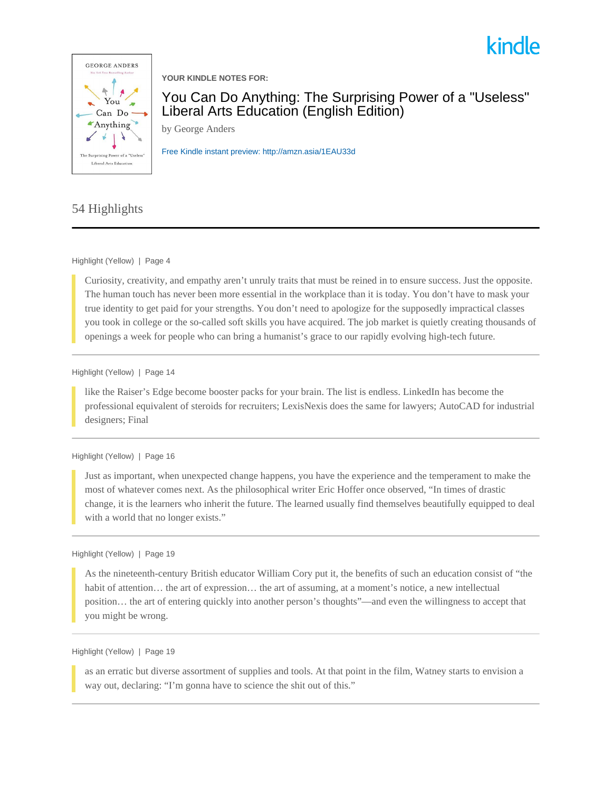



**YOUR KINDLE NOTES FOR:**

You Can Do Anything: The Surprising Power of a "Useless" Liberal Arts Education (English Edition)

by George Anders

[Free Kindle instant preview: http://amzn.asia/1EAU33d](http://amzn.asia/1EAU33d)

# 54 Highlights

### Highlight (Yellow) | Page 4

Curiosity, creativity, and empathy aren't unruly traits that must be reined in to ensure success. Just the opposite. The human touch has never been more essential in the workplace than it is today. You don't have to mask your true identity to get paid for your strengths. You don't need to apologize for the supposedly impractical classes you took in college or the so-called soft skills you have acquired. The job market is quietly creating thousands of openings a week for people who can bring a humanist's grace to our rapidly evolving high-tech future.

### Highlight (Yellow) | Page 14

like the Raiser's Edge become booster packs for your brain. The list is endless. LinkedIn has become the professional equivalent of steroids for recruiters; LexisNexis does the same for lawyers; AutoCAD for industrial designers; Final

### Highlight (Yellow) | Page 16

Just as important, when unexpected change happens, you have the experience and the temperament to make the most of whatever comes next. As the philosophical writer Eric Hoffer once observed, "In times of drastic change, it is the learners who inherit the future. The learned usually find themselves beautifully equipped to deal with a world that no longer exists."

### Highlight (Yellow) | Page 19

As the nineteenth-century British educator William Cory put it, the benefits of such an education consist of "the habit of attention… the art of expression… the art of assuming, at a moment's notice, a new intellectual position… the art of entering quickly into another person's thoughts"—and even the willingness to accept that you might be wrong.

### Highlight (Yellow) | Page 19

as an erratic but diverse assortment of supplies and tools. At that point in the film, Watney starts to envision a way out, declaring: "I'm gonna have to science the shit out of this."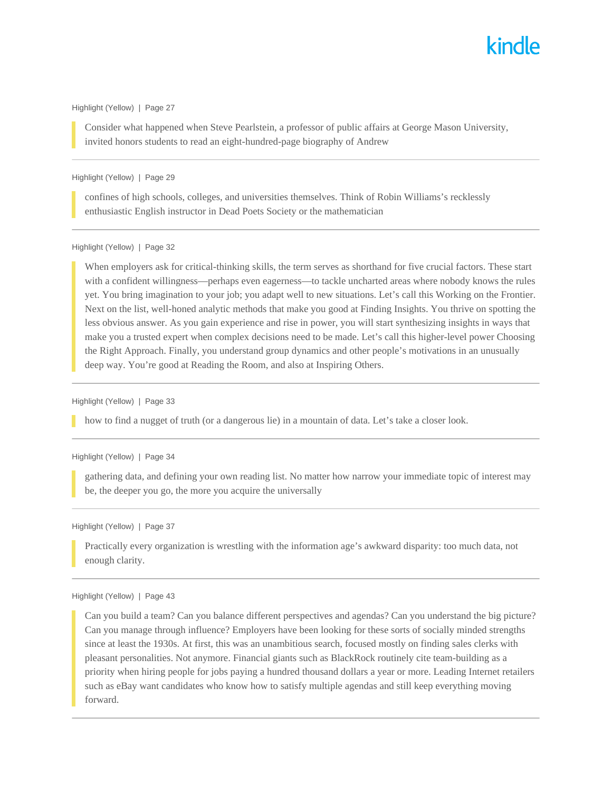### Highlight (Yellow) | Page 27

Consider what happened when Steve Pearlstein, a professor of public affairs at George Mason University, invited honors students to read an eight-hundred-page biography of Andrew

### Highlight (Yellow) | Page 29

confines of high schools, colleges, and universities themselves. Think of Robin Williams's recklessly enthusiastic English instructor in Dead Poets Society or the mathematician

### Highlight (Yellow) | Page 32

When employers ask for critical-thinking skills, the term serves as shorthand for five crucial factors. These start with a confident willingness—perhaps even eagerness—to tackle uncharted areas where nobody knows the rules yet. You bring imagination to your job; you adapt well to new situations. Let's call this Working on the Frontier. Next on the list, well-honed analytic methods that make you good at Finding Insights. You thrive on spotting the less obvious answer. As you gain experience and rise in power, you will start synthesizing insights in ways that make you a trusted expert when complex decisions need to be made. Let's call this higher-level power Choosing the Right Approach. Finally, you understand group dynamics and other people's motivations in an unusually deep way. You're good at Reading the Room, and also at Inspiring Others.

## Highlight (Yellow) | Page 33

how to find a nugget of truth (or a dangerous lie) in a mountain of data. Let's take a closer look.

### Highlight (Yellow) | Page 34

gathering data, and defining your own reading list. No matter how narrow your immediate topic of interest may be, the deeper you go, the more you acquire the universally

### Highlight (Yellow) | Page 37

Practically every organization is wrestling with the information age's awkward disparity: too much data, not enough clarity.

#### Highlight (Yellow) | Page 43

Can you build a team? Can you balance different perspectives and agendas? Can you understand the big picture? Can you manage through influence? Employers have been looking for these sorts of socially minded strengths since at least the 1930s. At first, this was an unambitious search, focused mostly on finding sales clerks with pleasant personalities. Not anymore. Financial giants such as BlackRock routinely cite team-building as a priority when hiring people for jobs paying a hundred thousand dollars a year or more. Leading Internet retailers such as eBay want candidates who know how to satisfy multiple agendas and still keep everything moving forward.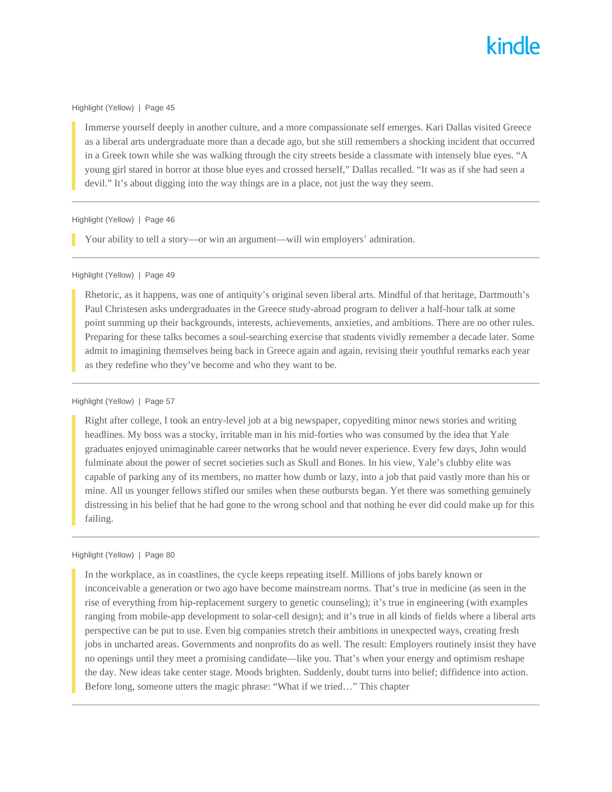### Highlight (Yellow) | Page 45

Immerse yourself deeply in another culture, and a more compassionate self emerges. Kari Dallas visited Greece as a liberal arts undergraduate more than a decade ago, but she still remembers a shocking incident that occurred in a Greek town while she was walking through the city streets beside a classmate with intensely blue eyes. "A young girl stared in horror at those blue eyes and crossed herself," Dallas recalled. "It was as if she had seen a devil." It's about digging into the way things are in a place, not just the way they seem.

### Highlight (Yellow) | Page 46

Your ability to tell a story—or win an argument—will win employers' admiration.

# Highlight (Yellow) | Page 49

Rhetoric, as it happens, was one of antiquity's original seven liberal arts. Mindful of that heritage, Dartmouth's Paul Christesen asks undergraduates in the Greece study-abroad program to deliver a half-hour talk at some point summing up their backgrounds, interests, achievements, anxieties, and ambitions. There are no other rules. Preparing for these talks becomes a soul-searching exercise that students vividly remember a decade later. Some admit to imagining themselves being back in Greece again and again, revising their youthful remarks each year as they redefine who they've become and who they want to be.

## Highlight (Yellow) | Page 57

Right after college, I took an entry-level job at a big newspaper, copyediting minor news stories and writing headlines. My boss was a stocky, irritable man in his mid-forties who was consumed by the idea that Yale graduates enjoyed unimaginable career networks that he would never experience. Every few days, John would fulminate about the power of secret societies such as Skull and Bones. In his view, Yale's clubby elite was capable of parking any of its members, no matter how dumb or lazy, into a job that paid vastly more than his or mine. All us younger fellows stifled our smiles when these outbursts began. Yet there was something genuinely distressing in his belief that he had gone to the wrong school and that nothing he ever did could make up for this failing.

### Highlight (Yellow) | Page 80

In the workplace, as in coastlines, the cycle keeps repeating itself. Millions of jobs barely known or inconceivable a generation or two ago have become mainstream norms. That's true in medicine (as seen in the rise of everything from hip-replacement surgery to genetic counseling); it's true in engineering (with examples ranging from mobile-app development to solar-cell design); and it's true in all kinds of fields where a liberal arts perspective can be put to use. Even big companies stretch their ambitions in unexpected ways, creating fresh jobs in uncharted areas. Governments and nonprofits do as well. The result: Employers routinely insist they have no openings until they meet a promising candidate—like you. That's when your energy and optimism reshape the day. New ideas take center stage. Moods brighten. Suddenly, doubt turns into belief; diffidence into action. Before long, someone utters the magic phrase: "What if we tried…" This chapter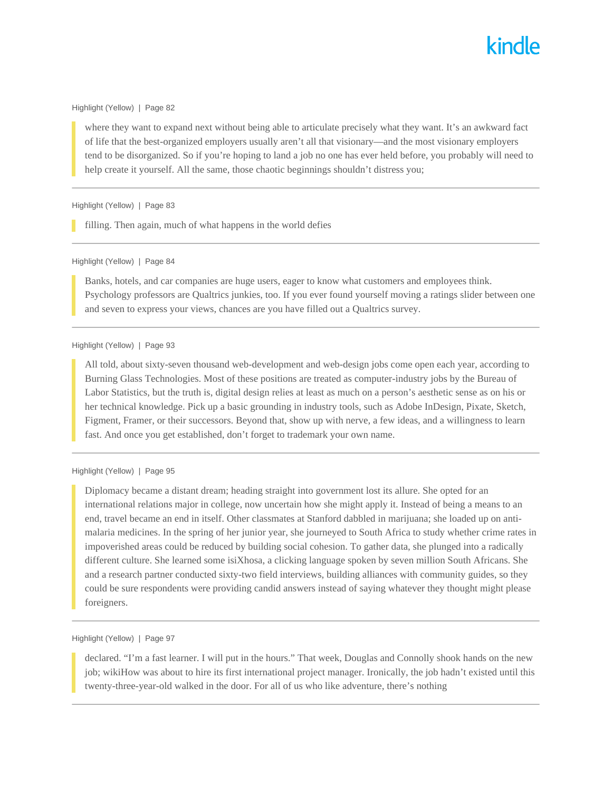### Highlight (Yellow) | Page 82

where they want to expand next without being able to articulate precisely what they want. It's an awkward fact of life that the best-organized employers usually aren't all that visionary—and the most visionary employers tend to be disorganized. So if you're hoping to land a job no one has ever held before, you probably will need to help create it yourself. All the same, those chaotic beginnings shouldn't distress you;

### Highlight (Yellow) | Page 83

filling. Then again, much of what happens in the world defies

### Highlight (Yellow) | Page 84

Banks, hotels, and car companies are huge users, eager to know what customers and employees think. Psychology professors are Qualtrics junkies, too. If you ever found yourself moving a ratings slider between one and seven to express your views, chances are you have filled out a Qualtrics survey.

### Highlight (Yellow) | Page 93

All told, about sixty-seven thousand web-development and web-design jobs come open each year, according to Burning Glass Technologies. Most of these positions are treated as computer-industry jobs by the Bureau of Labor Statistics, but the truth is, digital design relies at least as much on a person's aesthetic sense as on his or her technical knowledge. Pick up a basic grounding in industry tools, such as Adobe InDesign, Pixate, Sketch, Figment, Framer, or their successors. Beyond that, show up with nerve, a few ideas, and a willingness to learn fast. And once you get established, don't forget to trademark your own name.

### Highlight (Yellow) | Page 95

Diplomacy became a distant dream; heading straight into government lost its allure. She opted for an international relations major in college, now uncertain how she might apply it. Instead of being a means to an end, travel became an end in itself. Other classmates at Stanford dabbled in marijuana; she loaded up on antimalaria medicines. In the spring of her junior year, she journeyed to South Africa to study whether crime rates in impoverished areas could be reduced by building social cohesion. To gather data, she plunged into a radically different culture. She learned some isiXhosa, a clicking language spoken by seven million South Africans. She and a research partner conducted sixty-two field interviews, building alliances with community guides, so they could be sure respondents were providing candid answers instead of saying whatever they thought might please foreigners.

### Highlight (Yellow) | Page 97

declared. "I'm a fast learner. I will put in the hours." That week, Douglas and Connolly shook hands on the new job; wikiHow was about to hire its first international project manager. Ironically, the job hadn't existed until this twenty-three-year-old walked in the door. For all of us who like adventure, there's nothing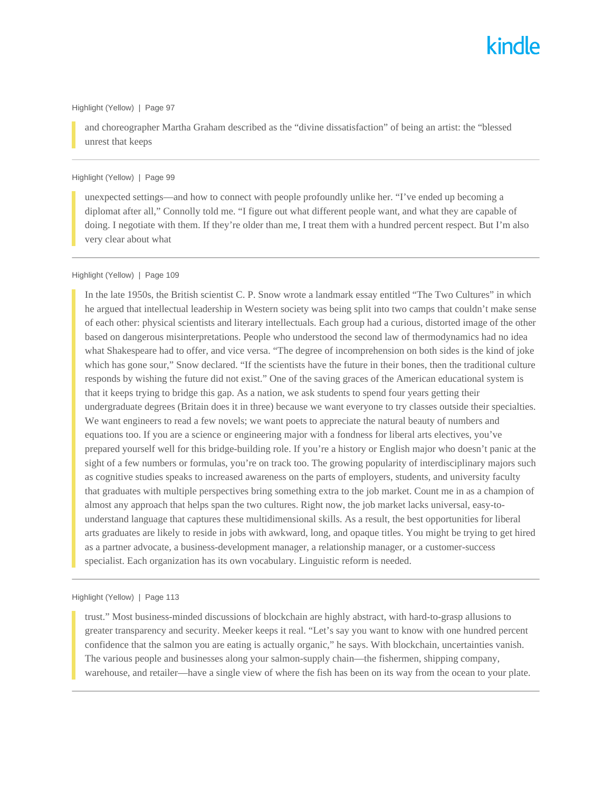### Highlight (Yellow) | Page 97

and choreographer Martha Graham described as the "divine dissatisfaction" of being an artist: the "blessed unrest that keeps

### Highlight (Yellow) | Page 99

unexpected settings—and how to connect with people profoundly unlike her. "I've ended up becoming a diplomat after all," Connolly told me. "I figure out what different people want, and what they are capable of doing. I negotiate with them. If they're older than me, I treat them with a hundred percent respect. But I'm also very clear about what

# Highlight (Yellow) | Page 109

In the late 1950s, the British scientist C. P. Snow wrote a landmark essay entitled "The Two Cultures" in which he argued that intellectual leadership in Western society was being split into two camps that couldn't make sense of each other: physical scientists and literary intellectuals. Each group had a curious, distorted image of the other based on dangerous misinterpretations. People who understood the second law of thermodynamics had no idea what Shakespeare had to offer, and vice versa. "The degree of incomprehension on both sides is the kind of joke which has gone sour," Snow declared. "If the scientists have the future in their bones, then the traditional culture responds by wishing the future did not exist." One of the saving graces of the American educational system is that it keeps trying to bridge this gap. As a nation, we ask students to spend four years getting their undergraduate degrees (Britain does it in three) because we want everyone to try classes outside their specialties. We want engineers to read a few novels; we want poets to appreciate the natural beauty of numbers and equations too. If you are a science or engineering major with a fondness for liberal arts electives, you've prepared yourself well for this bridge-building role. If you're a history or English major who doesn't panic at the sight of a few numbers or formulas, you're on track too. The growing popularity of interdisciplinary majors such as cognitive studies speaks to increased awareness on the parts of employers, students, and university faculty that graduates with multiple perspectives bring something extra to the job market. Count me in as a champion of almost any approach that helps span the two cultures. Right now, the job market lacks universal, easy-tounderstand language that captures these multidimensional skills. As a result, the best opportunities for liberal arts graduates are likely to reside in jobs with awkward, long, and opaque titles. You might be trying to get hired as a partner advocate, a business-development manager, a relationship manager, or a customer-success specialist. Each organization has its own vocabulary. Linguistic reform is needed.

### Highlight (Yellow) | Page 113

trust." Most business-minded discussions of blockchain are highly abstract, with hard-to-grasp allusions to greater transparency and security. Meeker keeps it real. "Let's say you want to know with one hundred percent confidence that the salmon you are eating is actually organic," he says. With blockchain, uncertainties vanish. The various people and businesses along your salmon-supply chain—the fishermen, shipping company, warehouse, and retailer—have a single view of where the fish has been on its way from the ocean to your plate.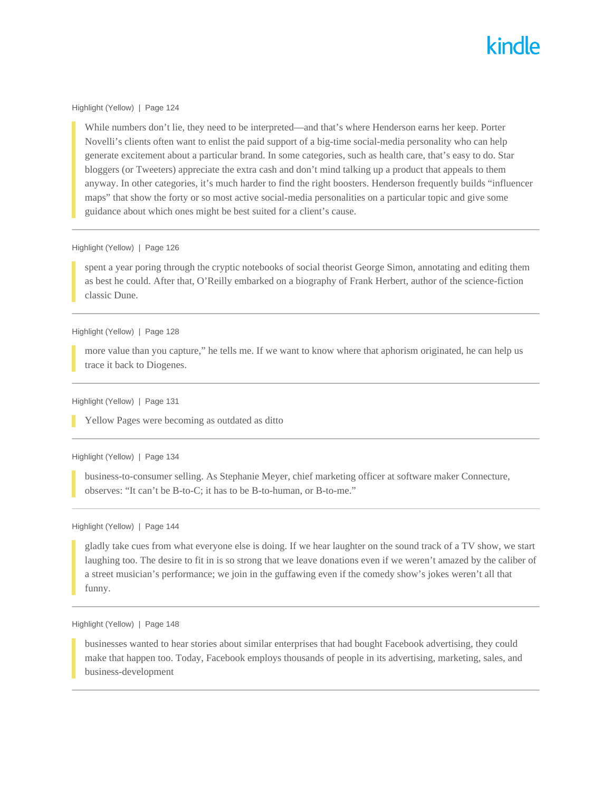#### Highlight (Yellow) | Page 124

While numbers don't lie, they need to be interpreted—and that's where Henderson earns her keep. Porter Novelli's clients often want to enlist the paid support of a big-time social-media personality who can help generate excitement about a particular brand. In some categories, such as health care, that's easy to do. Star bloggers (or Tweeters) appreciate the extra cash and don't mind talking up a product that appeals to them anyway. In other categories, it's much harder to find the right boosters. Henderson frequently builds "influencer maps" that show the forty or so most active social-media personalities on a particular topic and give some guidance about which ones might be best suited for a client's cause.

### Highlight (Yellow) | Page 126

spent a year poring through the cryptic notebooks of social theorist George Simon, annotating and editing them as best he could. After that, O'Reilly embarked on a biography of Frank Herbert, author of the science-fiction classic Dune.

#### Highlight (Yellow) | Page 128

more value than you capture," he tells me. If we want to know where that aphorism originated, he can help us trace it back to Diogenes.

### Highlight (Yellow) | Page 131

Yellow Pages were becoming as outdated as ditto

Highlight (Yellow) | Page 134

business-to-consumer selling. As Stephanie Meyer, chief marketing officer at software maker Connecture, observes: "It can't be B-to-C; it has to be B-to-human, or B-to-me."

Highlight (Yellow) | Page 144

gladly take cues from what everyone else is doing. If we hear laughter on the sound track of a TV show, we start laughing too. The desire to fit in is so strong that we leave donations even if we weren't amazed by the caliber of a street musician's performance; we join in the guffawing even if the comedy show's jokes weren't all that funny.

Highlight (Yellow) | Page 148

businesses wanted to hear stories about similar enterprises that had bought Facebook advertising, they could make that happen too. Today, Facebook employs thousands of people in its advertising, marketing, sales, and business-development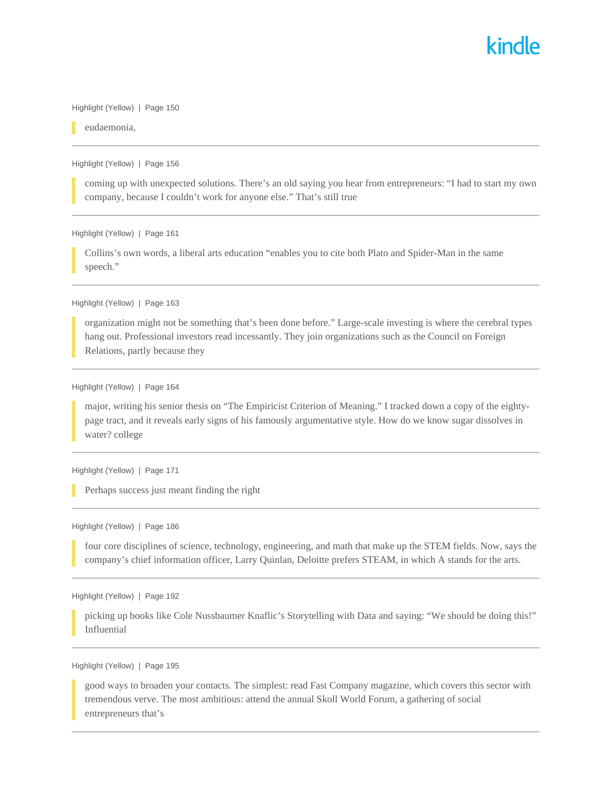Highlight (Yellow) | Page 150

eudaemonia,

Highlight (Yellow) | Page 156

coming up with unexpected solutions. There's an old saying you hear from entrepreneurs: "I had to start my own company, because I couldn't work for anyone else." That's still true

Highlight (Yellow) | Page 161

Collins's own words, a liberal arts education "enables you to cite both Plato and Spider-Man in the same speech."

Highlight (Yellow) | Page 163

organization might not be something that's been done before." Large-scale investing is where the cerebral types hang out. Professional investors read incessantly. They join organizations such as the Council on Foreign Relations, partly because they

Highlight (Yellow) | Page 164

major, writing his senior thesis on "The Empiricist Criterion of Meaning." I tracked down a copy of the eightypage tract, and it reveals early signs of his famously argumentative style. How do we know sugar dissolves in water? college

Highlight (Yellow) | Page 171

Perhaps success just meant finding the right

Highlight (Yellow) | Page 186

four core disciplines of science, technology, engineering, and math that make up the STEM fields. Now, says the company's chief information officer, Larry Quinlan, Deloitte prefers STEAM, in which A stands for the arts.

Highlight (Yellow) | Page 192

picking up books like Cole Nussbaumer Knaflic's Storytelling with Data and saying: "We should be doing this!" Influential

Highlight (Yellow) | Page 195

good ways to broaden your contacts. The simplest: read Fast Company magazine, which covers this sector with tremendous verve. The most ambitious: attend the annual Skoll World Forum, a gathering of social entrepreneurs that's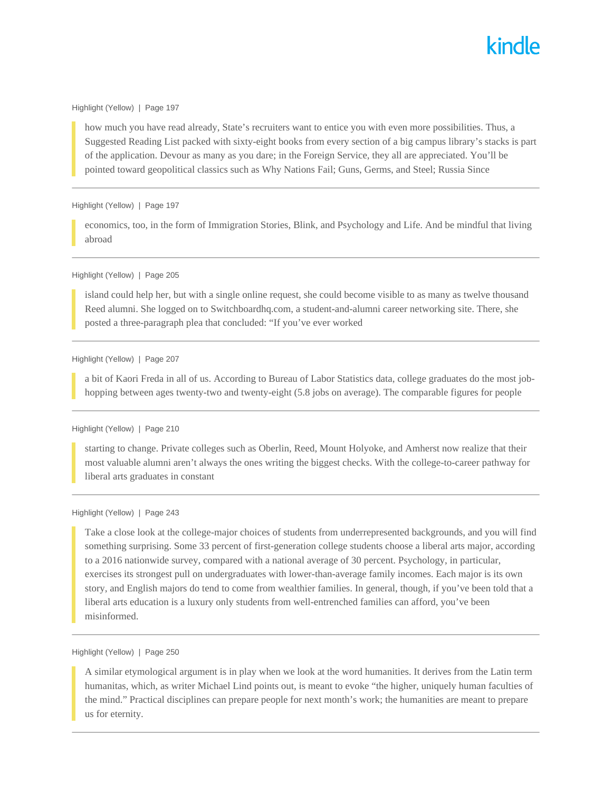### Highlight (Yellow) | Page 197

how much you have read already, State's recruiters want to entice you with even more possibilities. Thus, a Suggested Reading List packed with sixty-eight books from every section of a big campus library's stacks is part of the application. Devour as many as you dare; in the Foreign Service, they all are appreciated. You'll be pointed toward geopolitical classics such as Why Nations Fail; Guns, Germs, and Steel; Russia Since

### Highlight (Yellow) | Page 197

economics, too, in the form of Immigration Stories, Blink, and Psychology and Life. And be mindful that living abroad

# Highlight (Yellow) | Page 205

island could help her, but with a single online request, she could become visible to as many as twelve thousand Reed alumni. She logged on to Switchboardhq.com, a student-and-alumni career networking site. There, she posted a three-paragraph plea that concluded: "If you've ever worked

### Highlight (Yellow) | Page 207

a bit of Kaori Freda in all of us. According to Bureau of Labor Statistics data, college graduates do the most jobhopping between ages twenty-two and twenty-eight (5.8 jobs on average). The comparable figures for people

#### Highlight (Yellow) | Page 210

starting to change. Private colleges such as Oberlin, Reed, Mount Holyoke, and Amherst now realize that their most valuable alumni aren't always the ones writing the biggest checks. With the college-to-career pathway for liberal arts graduates in constant

## Highlight (Yellow) | Page 243

Take a close look at the college-major choices of students from underrepresented backgrounds, and you will find something surprising. Some 33 percent of first-generation college students choose a liberal arts major, according to a 2016 nationwide survey, compared with a national average of 30 percent. Psychology, in particular, exercises its strongest pull on undergraduates with lower-than-average family incomes. Each major is its own story, and English majors do tend to come from wealthier families. In general, though, if you've been told that a liberal arts education is a luxury only students from well-entrenched families can afford, you've been misinformed.

#### Highlight (Yellow) | Page 250

A similar etymological argument is in play when we look at the word humanities. It derives from the Latin term humanitas, which, as writer Michael Lind points out, is meant to evoke "the higher, uniquely human faculties of the mind." Practical disciplines can prepare people for next month's work; the humanities are meant to prepare us for eternity.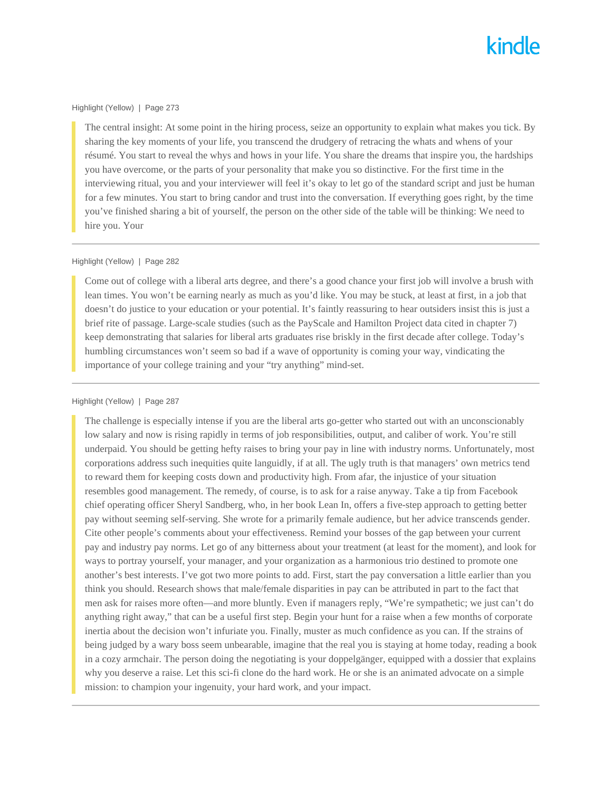### Highlight (Yellow) | Page 273

The central insight: At some point in the hiring process, seize an opportunity to explain what makes you tick. By sharing the key moments of your life, you transcend the drudgery of retracing the whats and whens of your résumé. You start to reveal the whys and hows in your life. You share the dreams that inspire you, the hardships you have overcome, or the parts of your personality that make you so distinctive. For the first time in the interviewing ritual, you and your interviewer will feel it's okay to let go of the standard script and just be human for a few minutes. You start to bring candor and trust into the conversation. If everything goes right, by the time you've finished sharing a bit of yourself, the person on the other side of the table will be thinking: We need to hire you. Your

### Highlight (Yellow) | Page 282

Come out of college with a liberal arts degree, and there's a good chance your first job will involve a brush with lean times. You won't be earning nearly as much as you'd like. You may be stuck, at least at first, in a job that doesn't do justice to your education or your potential. It's faintly reassuring to hear outsiders insist this is just a brief rite of passage. Large-scale studies (such as the PayScale and Hamilton Project data cited in chapter 7) keep demonstrating that salaries for liberal arts graduates rise briskly in the first decade after college. Today's humbling circumstances won't seem so bad if a wave of opportunity is coming your way, vindicating the importance of your college training and your "try anything" mind-set.

## Highlight (Yellow) | Page 287

The challenge is especially intense if you are the liberal arts go-getter who started out with an unconscionably low salary and now is rising rapidly in terms of job responsibilities, output, and caliber of work. You're still underpaid. You should be getting hefty raises to bring your pay in line with industry norms. Unfortunately, most corporations address such inequities quite languidly, if at all. The ugly truth is that managers' own metrics tend to reward them for keeping costs down and productivity high. From afar, the injustice of your situation resembles good management. The remedy, of course, is to ask for a raise anyway. Take a tip from Facebook chief operating officer Sheryl Sandberg, who, in her book Lean In, offers a five-step approach to getting better pay without seeming self-serving. She wrote for a primarily female audience, but her advice transcends gender. Cite other people's comments about your effectiveness. Remind your bosses of the gap between your current pay and industry pay norms. Let go of any bitterness about your treatment (at least for the moment), and look for ways to portray yourself, your manager, and your organization as a harmonious trio destined to promote one another's best interests. I've got two more points to add. First, start the pay conversation a little earlier than you think you should. Research shows that male/female disparities in pay can be attributed in part to the fact that men ask for raises more often—and more bluntly. Even if managers reply, "We're sympathetic; we just can't do anything right away," that can be a useful first step. Begin your hunt for a raise when a few months of corporate inertia about the decision won't infuriate you. Finally, muster as much confidence as you can. If the strains of being judged by a wary boss seem unbearable, imagine that the real you is staying at home today, reading a book in a cozy armchair. The person doing the negotiating is your doppelgänger, equipped with a dossier that explains why you deserve a raise. Let this sci-fi clone do the hard work. He or she is an animated advocate on a simple mission: to champion your ingenuity, your hard work, and your impact.